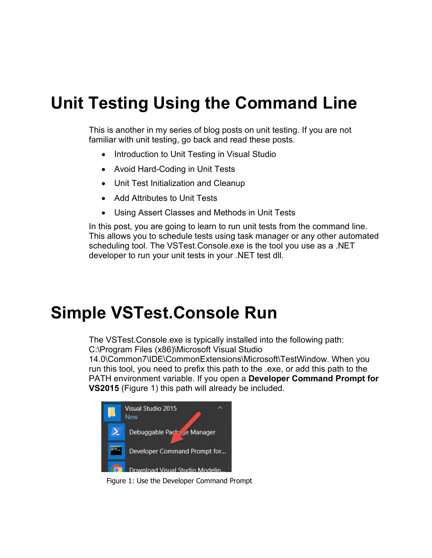## **Unit Testing Using the Command Line**

This is another in my series of blog posts on unit testing. If you are not familiar with unit testing, go back and read these posts.

- Introduction to Unit Testing in Visual Studio
- Avoid Hard-Coding in Unit Tests
- Unit Test Initialization and Cleanup
- Add Attributes to Unit Tests
- Using Assert Classes and Methods in Unit Tests

In this post, you are going to learn to run unit tests from the command line. This allows you to schedule tests using task manager or any other automated scheduling tool. The VSTest.Console.exe is the tool you use as a .NET developer to run your unit tests in your .NET test dll.

#### **Simple VSTest.Console Run**

The VSTest.Console.exe is typically installed into the following path: C:\Program Files (x86)\Microsoft Visual Studio

14.0\Common7\IDE\CommonExtensions\Microsoft\TestWindow. When you run this tool, you need to prefix this path to the .exe, or add this path to the PATH environment variable. If you open a **Developer Command Prompt for VS2015** [\(Figure 1\)](#page-0-0) this path will already be included.

<span id="page-0-0"></span>

Figure 1: Use the Developer Command Prompt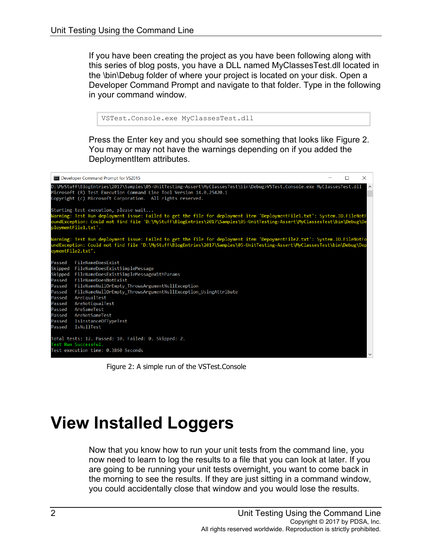If you have been creating the project as you have been following along with this series of blog posts, you have a DLL named MyClassesTest.dll located in the \bin\Debug folder of where your project is located on your disk. Open a Developer Command Prompt and navigate to that folder. Type in the following in your command window.

```
VSTest.Console.exe MyClassesTest.dll
```
Press the Enter key and you should see something that looks like [Figure 2.](#page-1-0) You may or may not have the warnings depending on if you added the DeploymentItem attributes.



Figure 2: A simple run of the VSTest.Console

# <span id="page-1-0"></span>**View Installed Loggers**

Now that you know how to run your unit tests from the command line, you now need to learn to log the results to a file that you can look at later. If you are going to be running your unit tests overnight, you want to come back in the morning to see the results. If they are just sitting in a command window, you could accidentally close that window and you would lose the results.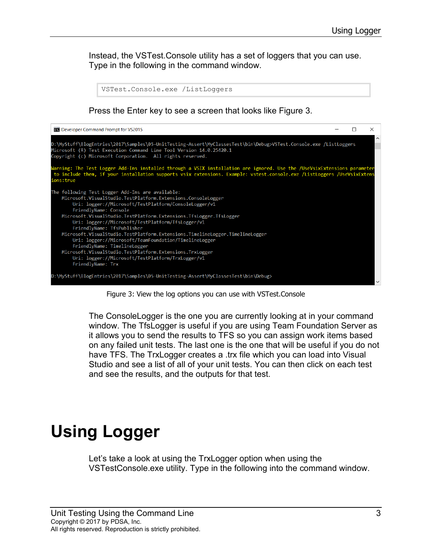Instead, the VSTest.Console utility has a set of loggers that you can use. Type in the following in the command window.



Figure 3: View the log options you can use with VSTest.Console

<span id="page-2-0"></span>The ConsoleLogger is the one you are currently looking at in your command window. The TfsLogger is useful if you are using Team Foundation Server as it allows you to send the results to TFS so you can assign work items based on any failed unit tests. The last one is the one that will be useful if you do not have TFS. The TrxLogger creates a .trx file which you can load into Visual Studio and see a list of all of your unit tests. You can then click on each test and see the results, and the outputs for that test.

## **Using Logger**

Let's take a look at using the TrxLogger option when using the VSTestConsole.exe utility. Type in the following into the command window.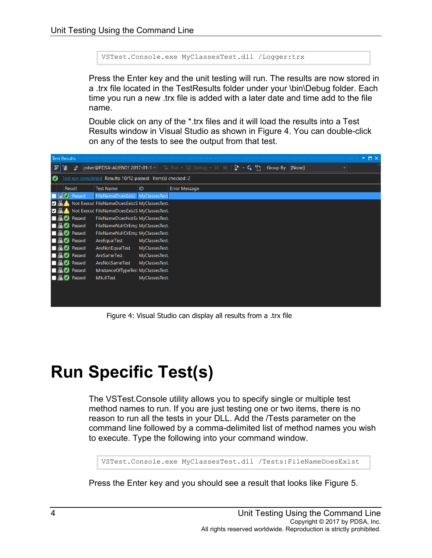VSTest.Console.exe MyClassesTest.dll /Logger:trx

Press the Enter key and the unit testing will run. The results are now stored in a .trx file located in the TestResults folder under your \bin\Debug folder. Each time you run a new .trx file is added with a later date and time add to the file name.

Double click on any of the \*.trx files and it will load the results into a Test Results window in Visual Studio as shown in [Figure 4.](#page-3-0) You can double-click on any of the tests to see the output from that test.



Figure 4: Visual Studio can display all results from a .trx file

#### <span id="page-3-0"></span>**Run Specific Test(s)**

The VSTest.Console utility allows you to specify single or multiple test method names to run. If you are just testing one or two items, there is no reason to run all the tests in your DLL. Add the /Tests parameter on the command line followed by a comma-delimited list of method names you wish to execute. Type the following into your command window.

```
VSTest.Console.exe MyClassesTest.dll /Tests:FileNameDoesExist
```
Press the Enter key and you should see a result that looks like [Figure 5.](#page-4-0)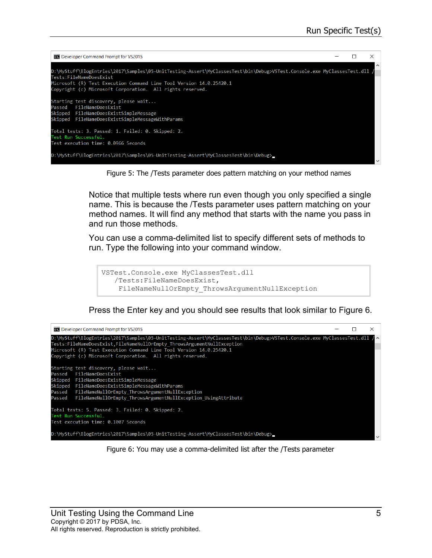

Figure 5: The /Tests parameter does pattern matching on your method names

<span id="page-4-0"></span>Notice that multiple tests where run even though you only specified a single name. This is because the /Tests parameter uses pattern matching on your method names. It will find any method that starts with the name you pass in and run those methods.

You can use a comma-delimited list to specify different sets of methods to run. Type the following into your command window.

```
VSTest.Console.exe MyClassesTest.dll 
/Tests:FileNameDoesExist,
FileNameNullOrEmpty_ThrowsArgumentNullException
```
Press the Enter key and you should see results that look similar to [Figure 6.](#page-4-1)

<span id="page-4-1"></span>

Figure 6: You may use a comma-delimited list after the /Tests parameter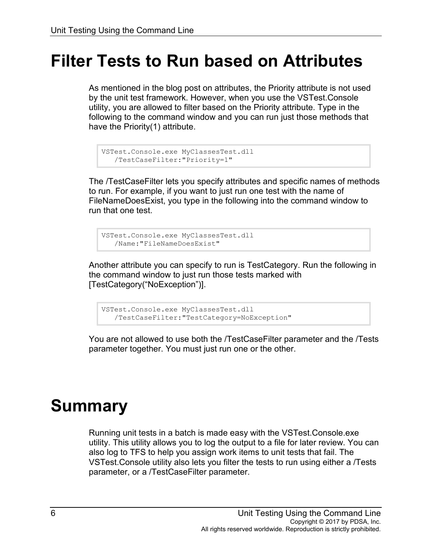#### **Filter Tests to Run based on Attributes**

As mentioned in the blog post on attributes, the Priority attribute is not used by the unit test framework. However, when you use the VSTest.Console utility, you are allowed to filter based on the Priority attribute. Type in the following to the command window and you can run just those methods that have the Priority(1) attribute.

```
VSTest.Console.exe MyClassesTest.dll
/TestCaseFilter:"Priority=1"
```
The /TestCaseFilter lets you specify attributes and specific names of methods to run. For example, if you want to just run one test with the name of FileNameDoesExist, you type in the following into the command window to run that one test.

```
VSTest.Console.exe MyClassesTest.dll
/Name:"FileNameDoesExist"
```
Another attribute you can specify to run is TestCategory. Run the following in the command window to just run those tests marked with [TestCategory("NoException")].

VSTest.Console.exe MyClassesTest.dll /TestCaseFilter:"TestCategory=NoException"

You are not allowed to use both the /TestCaseFilter parameter and the /Tests parameter together. You must just run one or the other.

## **Summary**

Running unit tests in a batch is made easy with the VSTest.Console.exe utility. This utility allows you to log the output to a file for later review. You can also log to TFS to help you assign work items to unit tests that fail. The VSTest.Console utility also lets you filter the tests to run using either a /Tests parameter, or a /TestCaseFilter parameter.